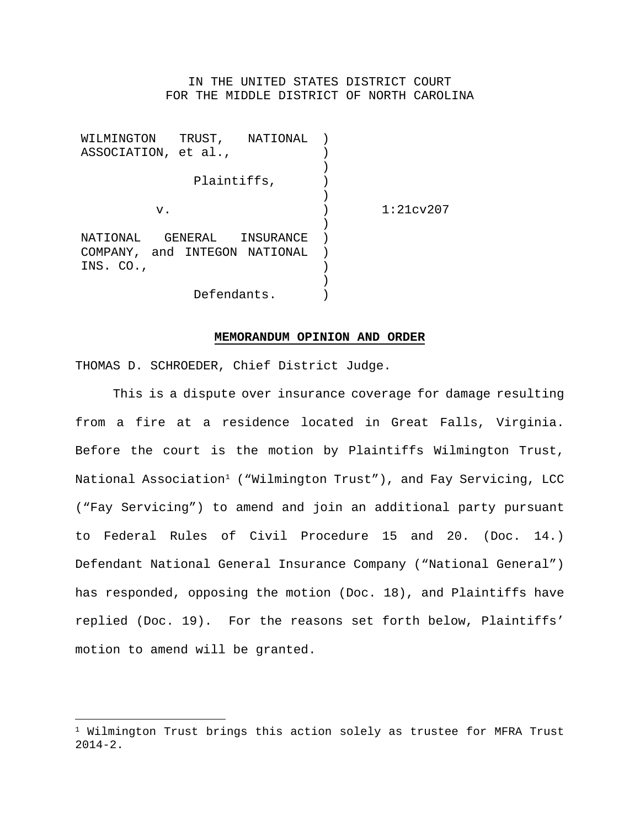# IN THE UNITED STATES DISTRICT COURT FOR THE MIDDLE DISTRICT OF NORTH CAROLINA

WILMINGTON TRUST, NATIONAL ) ASSOCIATION, et al., Plaintiffs, v. NATIONAL GENERAL INSURANCE COMPANY, and INTEGON NATIONAL INS. CO., Defendants. ) ) ) )  $\left( \right)$  $\left( \right)$ ) ) ) )  $\rightarrow$ 1:21cv207

### **MEMORANDUM OPINION AND ORDER**

THOMAS D. SCHROEDER, Chief District Judge.

This is a dispute over insurance coverage for damage resulting from a fire at a residence located in Great Falls, Virginia. Before the court is the motion by Plaintiffs Wilmington Trust, National Association<sup>1</sup> ("Wilmington Trust"), and Fay Servicing, LCC ("Fay Servicing") to amend and join an additional party pursuant to Federal Rules of Civil Procedure 15 and 20. (Doc. 14.) Defendant National General Insurance Company ("National General") has responded, opposing the motion (Doc. 18), and Plaintiffs have replied (Doc. 19). For the reasons set forth below, Plaintiffs' motion to amend will be granted.

 $1$  Wilmington Trust brings this action solely as trustee for MFRA Trust 2014-2.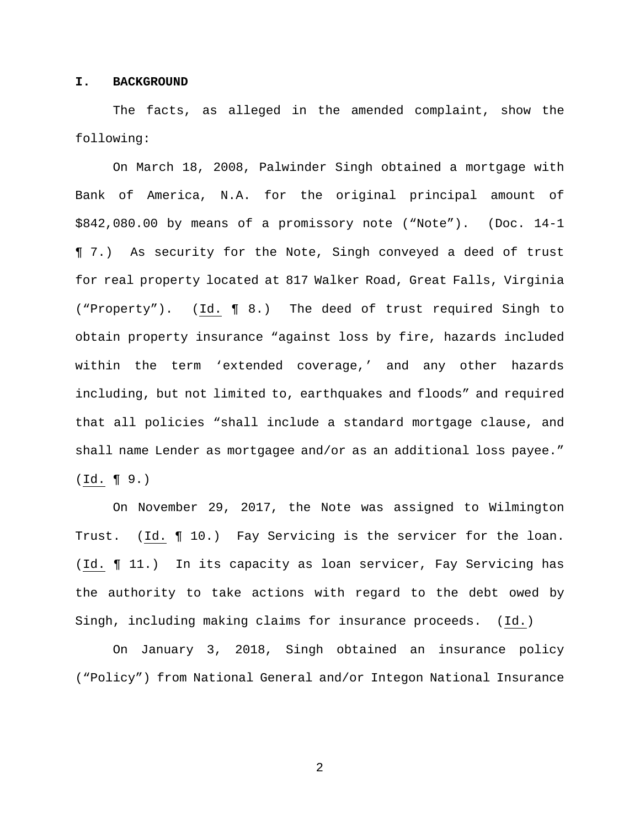# **I. BACKGROUND**

The facts, as alleged in the amended complaint, show the following:

On March 18, 2008, Palwinder Singh obtained a mortgage with Bank of America, N.A. for the original principal amount of \$842,080.00 by means of a promissory note ("Note"). (Doc. 14-1 ¶ 7.) As security for the Note, Singh conveyed a deed of trust for real property located at 817 Walker Road, Great Falls, Virginia ("Property"). (Id. ¶ 8.) The deed of trust required Singh to obtain property insurance "against loss by fire, hazards included within the term 'extended coverage,' and any other hazards including, but not limited to, earthquakes and floods" and required that all policies "shall include a standard mortgage clause, and shall name Lender as mortgagee and/or as an additional loss payee." (Id. ¶ 9.)

On November 29, 2017, the Note was assigned to Wilmington Trust. (Id. ¶ 10.) Fay Servicing is the servicer for the loan. (Id. ¶ 11.) In its capacity as loan servicer, Fay Servicing has the authority to take actions with regard to the debt owed by Singh, including making claims for insurance proceeds. (Id.)

On January 3, 2018, Singh obtained an insurance policy ("Policy") from National General and/or Integon National Insurance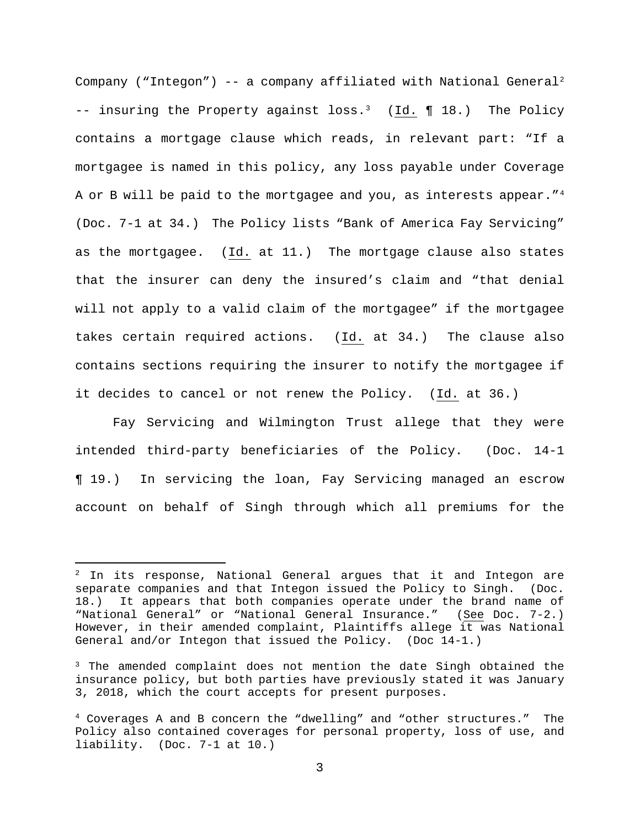Company ("Integon")  $-$  a company affiliated with National General<sup>2</sup>  $--$  insuring the Property against loss.<sup>3</sup> (Id. ¶ 18.) The Policy contains a mortgage clause which reads, in relevant part: "If a mortgagee is named in this policy, any loss payable under Coverage A or B will be paid to the mortgagee and you, as interests appear."<sup>4</sup> (Doc. 7-1 at 34.) The Policy lists "Bank of America Fay Servicing" as the mortgagee. (Id. at 11.) The mortgage clause also states that the insurer can deny the insured's claim and "that denial will not apply to a valid claim of the mortgagee" if the mortgagee takes certain required actions. (Id. at 34.) The clause also contains sections requiring the insurer to notify the mortgagee if it decides to cancel or not renew the Policy. (Id. at 36.)

Fay Servicing and Wilmington Trust allege that they were intended third-party beneficiaries of the Policy. (Doc. 14-1 ¶ 19.) In servicing the loan, Fay Servicing managed an escrow account on behalf of Singh through which all premiums for the

 $2$  In its response, National General argues that it and Integon are separate companies and that Integon issued the Policy to Singh. (Doc.<br>18.) It appears that both companies operate under the brand name of It appears that both companies operate under the brand name of "National General" or "National General Insurance." (See Doc. 7-2.) However, in their amended complaint, Plaintiffs allege it was National General and/or Integon that issued the Policy. (Doc 14-1.)

 $3$  The amended complaint does not mention the date Singh obtained the insurance policy, but both parties have previously stated it was January 3, 2018, which the court accepts for present purposes.

<sup>4</sup> Coverages A and B concern the "dwelling" and "other structures." The Policy also contained coverages for personal property, loss of use, and liability. (Doc. 7-1 at 10.)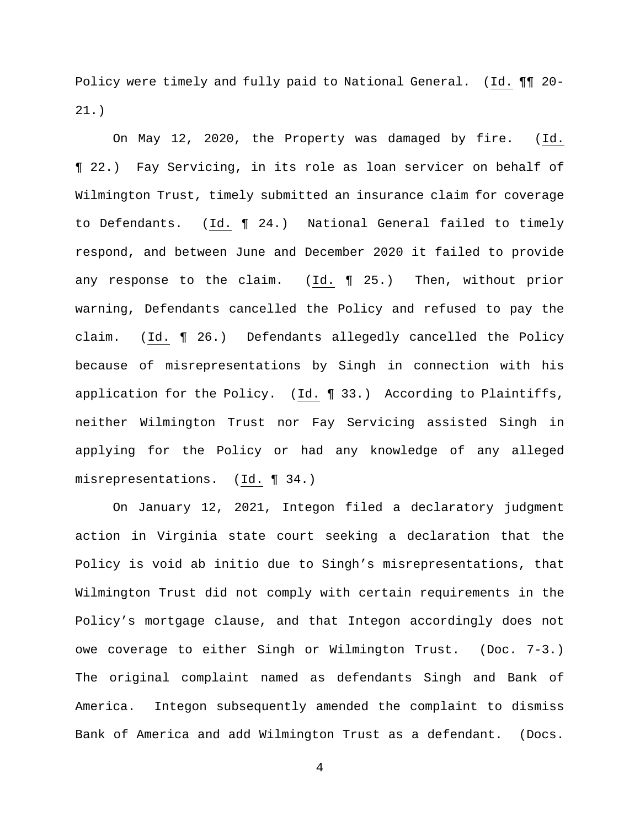Policy were timely and fully paid to National General. (Id. ¶¶ 20- 21.)

On May 12, 2020, the Property was damaged by fire. (Id. ¶ 22.) Fay Servicing, in its role as loan servicer on behalf of Wilmington Trust, timely submitted an insurance claim for coverage to Defendants. (Id. ¶ 24.) National General failed to timely respond, and between June and December 2020 it failed to provide any response to the claim. (Id. ¶ 25.) Then, without prior warning, Defendants cancelled the Policy and refused to pay the claim. (Id. ¶ 26.) Defendants allegedly cancelled the Policy because of misrepresentations by Singh in connection with his application for the Policy. (Id. ¶ 33.) According to Plaintiffs, neither Wilmington Trust nor Fay Servicing assisted Singh in applying for the Policy or had any knowledge of any alleged misrepresentations. (Id. ¶ 34.)

On January 12, 2021, Integon filed a declaratory judgment action in Virginia state court seeking a declaration that the Policy is void ab initio due to Singh's misrepresentations, that Wilmington Trust did not comply with certain requirements in the Policy's mortgage clause, and that Integon accordingly does not owe coverage to either Singh or Wilmington Trust. (Doc. 7-3.) The original complaint named as defendants Singh and Bank of America. Integon subsequently amended the complaint to dismiss Bank of America and add Wilmington Trust as a defendant. (Docs.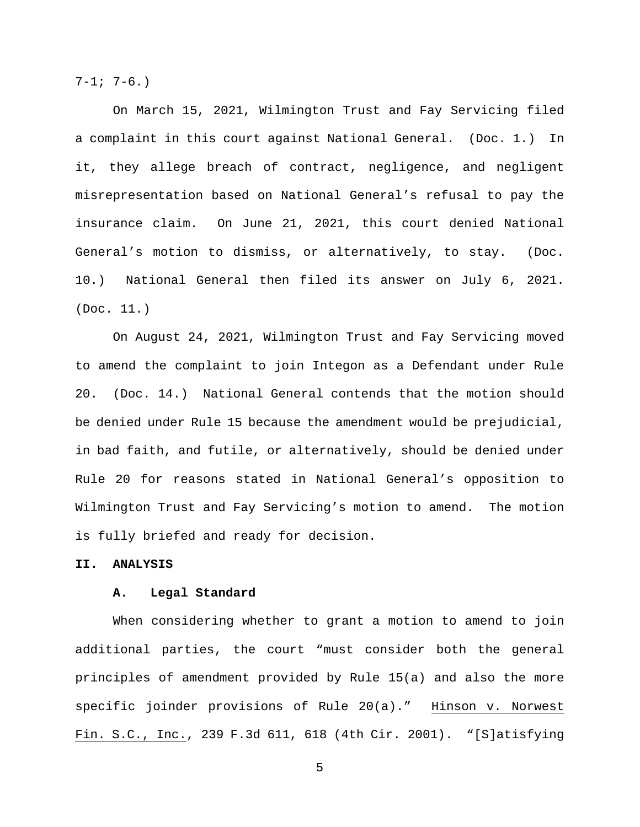$7-1; 7-6.$ 

On March 15, 2021, Wilmington Trust and Fay Servicing filed a complaint in this court against National General. (Doc. 1.) In it, they allege breach of contract, negligence, and negligent misrepresentation based on National General's refusal to pay the insurance claim. On June 21, 2021, this court denied National General's motion to dismiss, or alternatively, to stay. (Doc. 10.) National General then filed its answer on July 6, 2021. (Doc. 11.)

On August 24, 2021, Wilmington Trust and Fay Servicing moved to amend the complaint to join Integon as a Defendant under Rule 20. (Doc. 14.) National General contends that the motion should be denied under Rule 15 because the amendment would be prejudicial, in bad faith, and futile, or alternatively, should be denied under Rule 20 for reasons stated in National General's opposition to Wilmington Trust and Fay Servicing's motion to amend. The motion is fully briefed and ready for decision.

# **II. ANALYSIS**

#### **A. Legal Standard**

When considering whether to grant a motion to amend to join additional parties, the court "must consider both the general principles of amendment provided by Rule 15(a) and also the more specific joinder provisions of Rule 20(a)." Hinson v. Norwest Fin. S.C., Inc., 239 F.3d 611, 618 (4th Cir. 2001). "[S]atisfying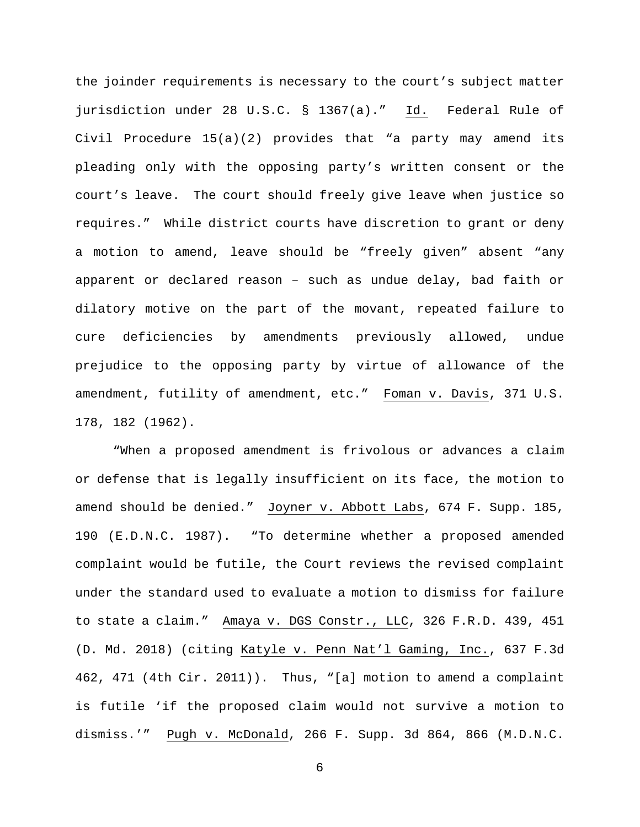the joinder requirements is necessary to the court's subject matter jurisdiction under 28 U.S.C. § 1367(a)." Id. Federal Rule of Civil Procedure 15(a)(2) provides that "a party may amend its pleading only with the opposing party's written consent or the court's leave. The court should freely give leave when justice so requires." While district courts have discretion to grant or deny a motion to amend, leave should be "freely given" absent "any apparent or declared reason – such as undue delay, bad faith or dilatory motive on the part of the movant, repeated failure to cure deficiencies by amendments previously allowed, undue prejudice to the opposing party by virtue of allowance of the amendment, futility of amendment, etc." Foman v. Davis, 371 U.S. 178, 182 (1962).

"When a proposed amendment is frivolous or advances a claim or defense that is legally insufficient on its face, the motion to amend should be denied." Joyner v. Abbott Labs, 674 F. Supp. 185, 190 (E.D.N.C. 1987). "To determine whether a proposed amended complaint would be futile, the Court reviews the revised complaint under the standard used to evaluate a motion to dismiss for failure to state a claim." Amaya v. DGS Constr., LLC, 326 F.R.D. 439, 451 (D. Md. 2018) (citing Katyle v. Penn Nat'l Gaming, Inc., 637 F.3d 462, 471 (4th Cir. 2011)). Thus, "[a] motion to amend a complaint is futile 'if the proposed claim would not survive a motion to dismiss.'" Pugh v. McDonald, 266 F. Supp. 3d 864, 866 (M.D.N.C.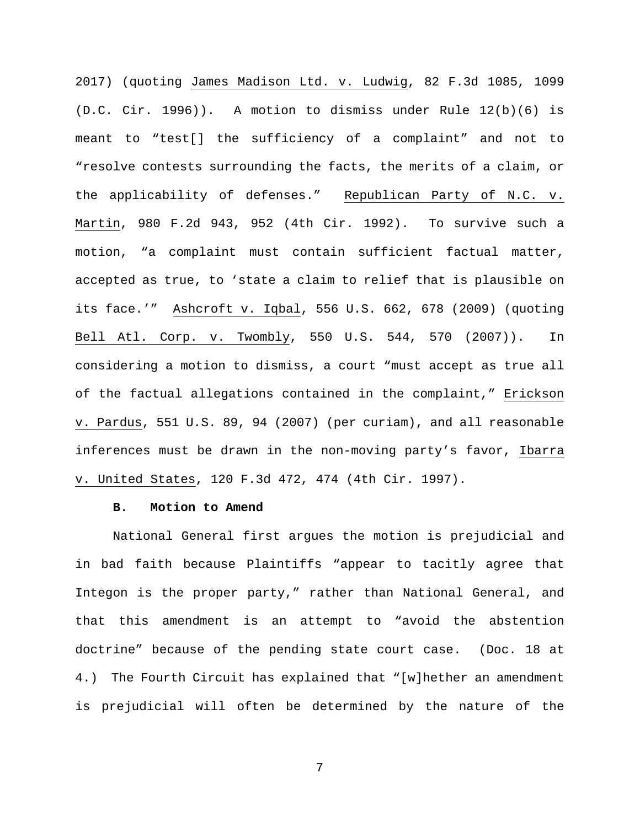2017) (quoting James Madison Ltd. v. Ludwig, 82 F.3d 1085, 1099  $(D.C. Cir. 1996)$ . A motion to dismiss under Rule  $12(b)(6)$  is meant to "test[] the sufficiency of a complaint" and not to "resolve contests surrounding the facts, the merits of a claim, or the applicability of defenses." Republican Party of N.C. v. Martin, 980 F.2d 943, 952 (4th Cir. 1992). To survive such a motion, "a complaint must contain sufficient factual matter, accepted as true, to 'state a claim to relief that is plausible on its face.'" Ashcroft v. Iqbal, 556 U.S. 662, 678 (2009) (quoting Bell Atl. Corp. v. Twombly, 550 U.S. 544, 570 (2007)). In considering a motion to dismiss, a court "must accept as true all of the factual allegations contained in the complaint," Erickson v. Pardus, 551 U.S. 89, 94 (2007) (per curiam), and all reasonable inferences must be drawn in the non-moving party's favor, Ibarra v. United States, 120 F.3d 472, 474 (4th Cir. 1997).

#### **B. Motion to Amend**

National General first argues the motion is prejudicial and in bad faith because Plaintiffs "appear to tacitly agree that Integon is the proper party," rather than National General, and that this amendment is an attempt to "avoid the abstention doctrine" because of the pending state court case. (Doc. 18 at 4.) The Fourth Circuit has explained that "[w]hether an amendment is prejudicial will often be determined by the nature of the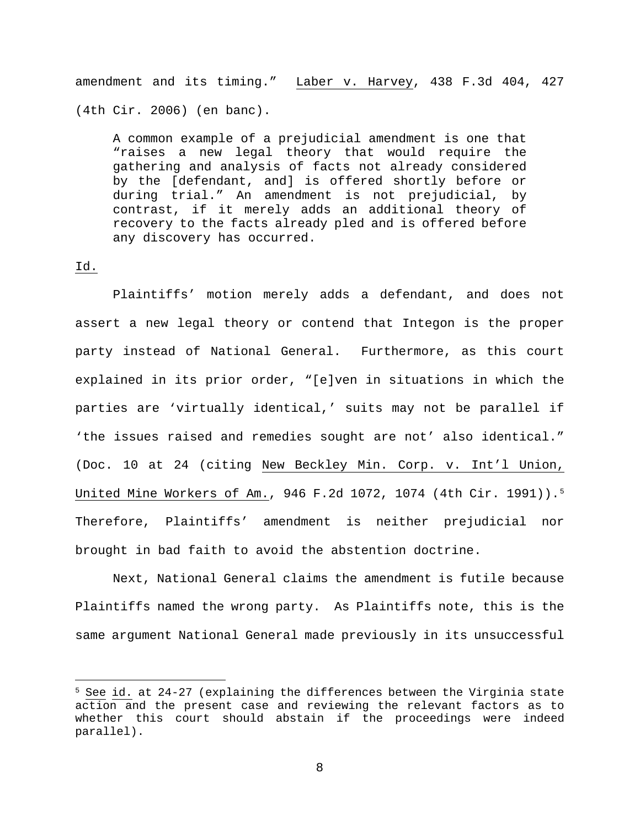amendment and its timing." Laber v. Harvey, 438 F.3d 404, 427 (4th Cir. 2006) (en banc).

A common example of a prejudicial amendment is one that "raises a new legal theory that would require the gathering and analysis of facts not already considered by the [defendant, and] is offered shortly before or during trial." An amendment is not prejudicial, by contrast, if it merely adds an additional theory of recovery to the facts already pled and is offered before any discovery has occurred.

#### Id.

Plaintiffs' motion merely adds a defendant, and does not assert a new legal theory or contend that Integon is the proper party instead of National General. Furthermore, as this court explained in its prior order, "[e]ven in situations in which the parties are 'virtually identical,' suits may not be parallel if 'the issues raised and remedies sought are not' also identical." (Doc. 10 at 24 (citing New Beckley Min. Corp. v. Int'l Union, United Mine Workers of Am., 946 F.2d 1072, 1074 (4th Cir. 1991)).5 Therefore, Plaintiffs' amendment is neither prejudicial nor brought in bad faith to avoid the abstention doctrine.

Next, National General claims the amendment is futile because Plaintiffs named the wrong party. As Plaintiffs note, this is the same argument National General made previously in its unsuccessful

 $5$  See id. at 24-27 (explaining the differences between the Virginia state action and the present case and reviewing the relevant factors as to whether this court should abstain if the proceedings were indeed parallel).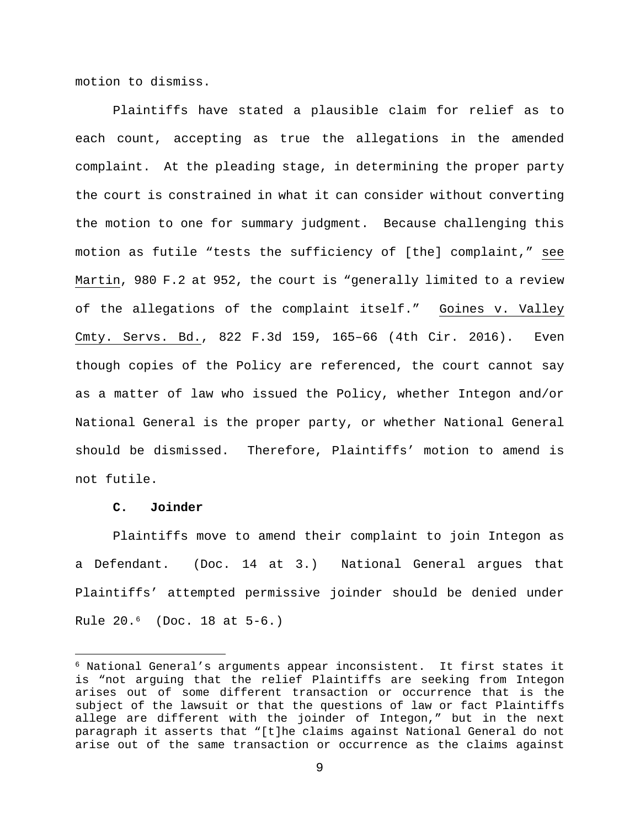motion to dismiss.

Plaintiffs have stated a plausible claim for relief as to each count, accepting as true the allegations in the amended complaint. At the pleading stage, in determining the proper party the court is constrained in what it can consider without converting the motion to one for summary judgment. Because challenging this motion as futile "tests the sufficiency of [the] complaint," see Martin, 980 F.2 at 952, the court is "generally limited to a review of the allegations of the complaint itself." Goines v. Valley Cmty. Servs. Bd., 822 F.3d 159, 165–66 (4th Cir. 2016). Even though copies of the Policy are referenced, the court cannot say as a matter of law who issued the Policy, whether Integon and/or National General is the proper party, or whether National General should be dismissed. Therefore, Plaintiffs' motion to amend is not futile.

### **C. Joinder**

Plaintiffs move to amend their complaint to join Integon as a Defendant. (Doc. 14 at 3.) National General argues that Plaintiffs' attempted permissive joinder should be denied under Rule 20.6 (Doc. 18 at 5-6.)

 $6$  National General's arguments appear inconsistent. It first states it is "not arguing that the relief Plaintiffs are seeking from Integon arises out of some different transaction or occurrence that is the subject of the lawsuit or that the questions of law or fact Plaintiffs allege are different with the joinder of Integon," but in the next paragraph it asserts that "[t]he claims against National General do not arise out of the same transaction or occurrence as the claims against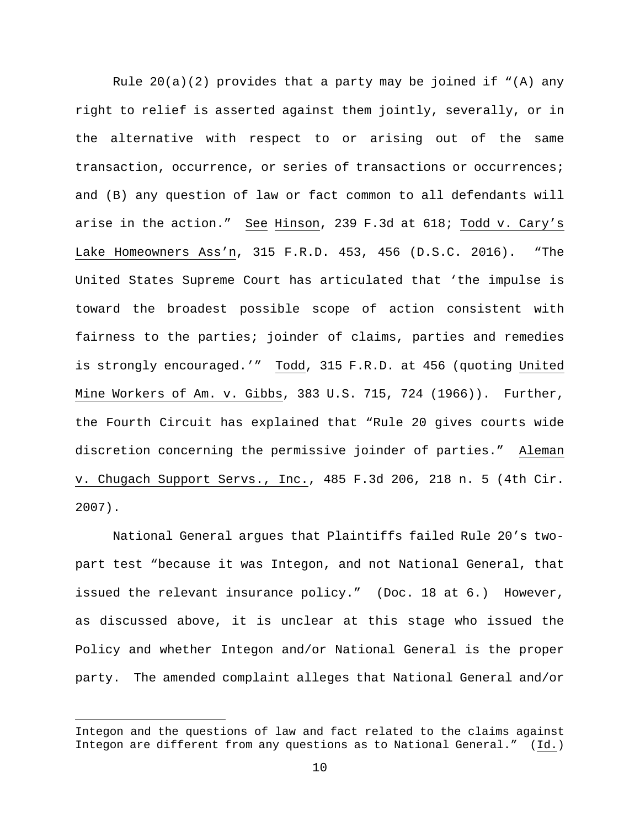Rule  $20(a)(2)$  provides that a party may be joined if "(A) any right to relief is asserted against them jointly, severally, or in the alternative with respect to or arising out of the same transaction, occurrence, or series of transactions or occurrences; and (B) any question of law or fact common to all defendants will arise in the action." See Hinson, 239 F.3d at 618; Todd v. Cary's Lake Homeowners Ass'n, 315 F.R.D. 453, 456 (D.S.C. 2016). "The United States Supreme Court has articulated that 'the impulse is toward the broadest possible scope of action consistent with fairness to the parties; joinder of claims, parties and remedies is strongly encouraged.'" Todd, 315 F.R.D. at 456 (quoting United Mine Workers of Am. v. Gibbs, 383 U.S. 715, 724 (1966)). Further, the Fourth Circuit has explained that "Rule 20 gives courts wide discretion concerning the permissive joinder of parties." Aleman v. Chugach Support Servs., Inc., 485 F.3d 206, 218 n. 5 (4th Cir. 2007).

National General argues that Plaintiffs failed Rule 20's twopart test "because it was Integon, and not National General, that issued the relevant insurance policy." (Doc. 18 at 6.) However, as discussed above, it is unclear at this stage who issued the Policy and whether Integon and/or National General is the proper party. The amended complaint alleges that National General and/or

Integon and the questions of law and fact related to the claims against Integon are different from any questions as to National General." (Id.)